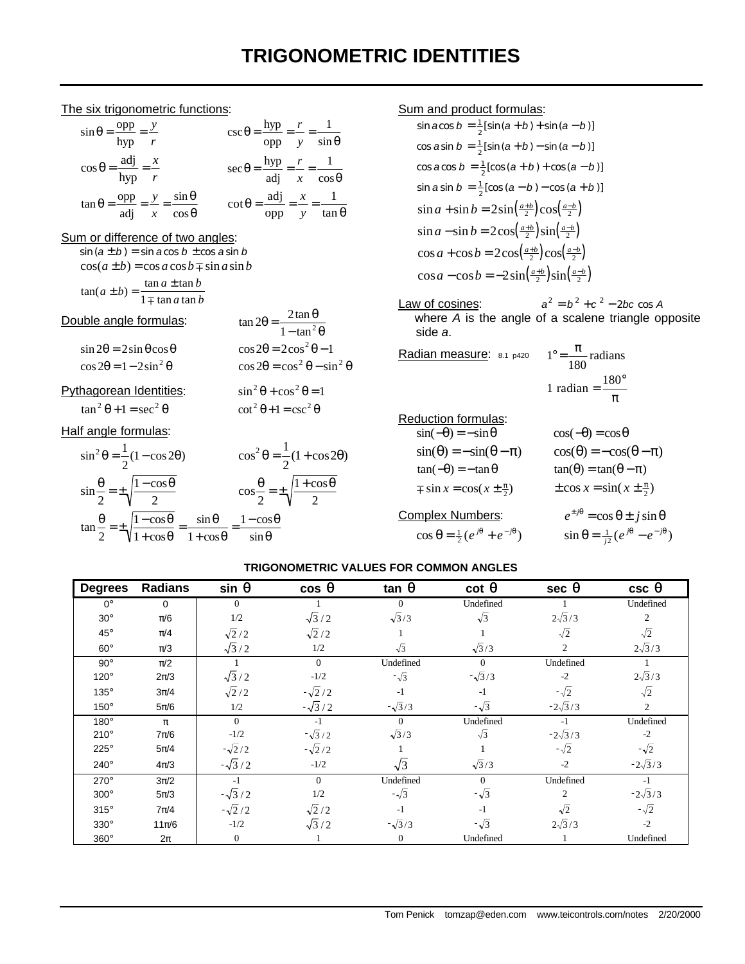# **TRIGONOMETRIC IDENTITIES**

## The six trigonometric functions:

| $\sin \theta = \frac{\text{opp}}{\text{hyp}} = \frac{y}{r}$                                   | $\csc \theta = \frac{\text{hyp}}{\text{opp}} = \frac{r}{y} = \frac{1}{\sin \theta}$                          |
|-----------------------------------------------------------------------------------------------|--------------------------------------------------------------------------------------------------------------|
| $\cos \theta = \frac{\text{adj}}{\text{hyp}} = \frac{x}{r}$                                   | $\sec \theta = \frac{\text{hyp}}{\text{adj}} = \frac{r}{x} = \frac{1}{\cos \theta}$                          |
| $\tan \theta = \frac{\text{opp}}{\text{adj}} = \frac{y}{x} = \frac{\sin \theta}{\cos \theta}$ | $\cot \theta = \frac{\text{adj}}{\text{adj}} = \frac{x}{x} = \frac{1}{x}$<br>$opp \quad y \quad \tan \theta$ |

## Sum or difference of two angles:

 $sin (a \pm b) = sin a cos b \pm cos a sin b$  $\cos(a \pm b) = \cos a \cos b \mp \sin a \sin b$ 

$$
\tan(a \pm b) = \frac{\tan a \pm \tan b}{1 \mp \tan a \tan b}
$$

## Double angle formulas:

| uble angle formulas:                      | $\tan 2\theta = \frac{2\tan\theta}{1-\tan^2\theta}$ |
|-------------------------------------------|-----------------------------------------------------|
| $\sin 2\theta = 2\sin \theta \cos \theta$ | $\cos 2\theta = 2\cos^2 \theta - 1$                 |
| $\cos 2\theta = 1 - 2\sin^2 \theta$       | $\cos 2\theta = \cos^2 \theta - \sin^2 \theta$      |

 $\sin^2 \theta + \cos^2 \theta = 1$ 

## Pythagorean Identities:

 $\tan^2 \theta + 1 = \sec^2 \theta$  $\theta + 1 = \sec^2 \theta$   $\qquad \qquad \cot^2 \theta + 1 = \csc^2 \theta$ 

#### Half angle formulas:

$$
\sin^2 \theta = \frac{1}{2} (1 - \cos 2\theta) \qquad \cos^2 \theta = \frac{1}{2} (1 + \cos 2\theta)
$$
  

$$
\sin \frac{\theta}{2} = \pm \sqrt{\frac{1 - \cos \theta}{2}} \qquad \cos \frac{\theta}{2} = \pm \sqrt{\frac{1 + \cos \theta}{2}}
$$
  

$$
\tan \frac{\theta}{2} = \pm \sqrt{\frac{1 - \cos \theta}{1 + \cos \theta}} = \frac{\sin \theta}{1 + \cos \theta} = \frac{1 - \cos \theta}{\sin \theta}
$$

### Sum and product formulas:

sin 
$$
a\cos b = \frac{1}{2}[\sin (a + b) + \sin (a - b)]
$$
  
\ncos  $a\sin b = \frac{1}{2}[\sin (a + b) - \sin (a - b)]$   
\ncos  $a\cos b = \frac{1}{2}[\cos (a + b) + \cos (a - b)]$   
\nsin  $a\sin b = \frac{1}{2}[\cos (a - b) - \cos (a + b)]$   
\nsin  $a + \sin b = 2\sin(\frac{a+b}{2})\cos(\frac{a-b}{2})$   
\nsin  $a - \sin b = 2\cos(\frac{a+b}{2})\sin(\frac{a-b}{2})$   
\ncos  $a + \cos b = 2\cos(\frac{a+b}{2})\cos(\frac{a-b}{2})$   
\ncos  $a - \cos b = -2\sin(\frac{a+b}{2})\sin(\frac{a-b}{2})$ 

Law of cosines:  $a^2 = b^2 + c^2 - 2bc \cos A$ where *A* is the angle of a scalene triangle opposite side *a*.

**Radian measure:** 8.1 p420 
$$
1^{\circ} = \frac{\pi}{180}
$$
 radians

\n $1 \text{ radian} = \frac{180^{\circ}}{180}$ 

1 radian = 
$$
\frac{180^{\circ}}{\pi}
$$

Reduction formulas:

| $\sin(-\theta) = -\sin\theta$                            | $\cos(-\theta) = \cos\theta$                               |
|----------------------------------------------------------|------------------------------------------------------------|
| $sin(\theta) = -sin(\theta - \pi)$                       | $cos(\theta) = -cos(\theta - \pi)$                         |
| $tan(-\theta) = -tan \theta$                             | $tan(\theta) = tan(\theta - \pi)$                          |
| $\mp$ sin $x = \cos(x \pm \frac{\pi}{2})$                | $\pm$ cos $x = \sin(x \pm \frac{\pi}{2})$                  |
| Complex Numbers:                                         | $e^{\pm j\theta} = \cos \theta \pm j \sin \theta$          |
| $\cos \theta = \frac{1}{2} (e^{j\theta} + e^{-j\theta})$ | $\sin \theta = \frac{1}{i^2} (e^{j\theta} - e^{-j\theta})$ |
|                                                          |                                                            |

## **TRIGONOMETRIC VALUES FOR COMMON ANGLES**

| <b>Degrees</b> | <b>Radians</b> | sin q         | cos q         | tan q         | $cot$ <b>q</b> | sec q          | csc q          |
|----------------|----------------|---------------|---------------|---------------|----------------|----------------|----------------|
| $0^{\circ}$    | $\Omega$       | $\Omega$      |               | $\Omega$      | Undefined      |                | Undefined      |
| $30^\circ$     | $\pi/6$        | 1/2           | $\sqrt{3}/2$  | $\sqrt{3}/3$  | $\sqrt{3}$     | $2\sqrt{3}/3$  | 2              |
| $45^{\circ}$   | $\pi/4$        | $\sqrt{2}/2$  | $\sqrt{2}/2$  |               |                | $\sqrt{2}$     | $\sqrt{2}$     |
| $60^\circ$     | $\pi/3$        | $\sqrt{3}/2$  | 1/2           | $\sqrt{3}$    | $\sqrt{3}/3$   | $\overline{2}$ | $2\sqrt{3}/3$  |
| $90^\circ$     | $\pi/2$        |               | $\theta$      | Undefined     | $\Omega$       | Undefined      |                |
| $120^\circ$    | $2\pi/3$       | $\sqrt{3}/2$  | $-1/2$        | $-\sqrt{3}$   | $-\sqrt{3}/3$  | $-2$           | $2\sqrt{3}/3$  |
| 135°           | $3\pi/4$       | $\sqrt{2}/2$  | $-\sqrt{2}/2$ | $-1$          | $-1$           | $-\sqrt{2}$    | $\sqrt{2}$     |
| 150°           | $5\pi/6$       | 1/2           | $-\sqrt{3}/2$ | $-\sqrt{3}/3$ | $-\sqrt{3}$    | $-2\sqrt{3}/3$ | 2              |
| $180^\circ$    | $\pi$          | $\theta$      | $-1$          | $\Omega$      | Undefined      | $-1$           | Undefined      |
| $210^\circ$    | $7\pi/6$       | $-1/2$        | $-\sqrt{3}/2$ | $\sqrt{3}/3$  | $\sqrt{3}$     | $-2\sqrt{3}/3$ | $-2$           |
| 225°           | $5\pi/4$       | $-\sqrt{2}/2$ | $-\sqrt{2}/2$ |               |                | $-\sqrt{2}$    | $-\sqrt{2}$    |
| $240^\circ$    | $4\pi/3$       | $-\sqrt{3}/2$ | $-1/2$        | $\sqrt{3}$    | $\sqrt{3}/3$   | $-2$           | $-2\sqrt{3}/3$ |
| 270°           | $3\pi/2$       | $-1$          | $\Omega$      | Undefined     | $\Omega$       | Undefined      | $-1$           |
| $300^\circ$    | $5\pi/3$       | $-\sqrt{3}/2$ | 1/2           | $-\sqrt{3}$   | $-\sqrt{3}$    | $\overline{c}$ | $-2\sqrt{3}/3$ |
| $315^\circ$    | $7\pi/4$       | $-\sqrt{2}/2$ | $\sqrt{2}/2$  | $-1$          | $-1$           | $\sqrt{2}$     | $-\sqrt{2}$    |
| $330^\circ$    | $11\pi/6$      | $-1/2$        | $\sqrt{3}/2$  | $-\sqrt{3}/3$ | $-\sqrt{3}$    | $2\sqrt{3}/3$  | $-2$           |
| $360^\circ$    | $2\pi$         | $\Omega$      |               | $\theta$      | Undefined      |                | Undefined      |